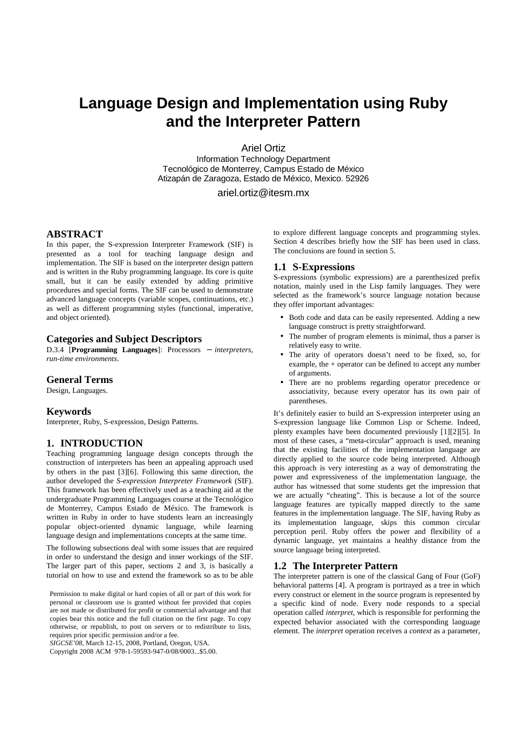# **Language Design and Implementation using Ruby and the Interpreter Pattern**

Ariel Ortiz

Information Technology Department Tecnológico de Monterrey, Campus Estado de México Atizapán de Zaragoza, Estado de México, Mexico. 52926

ariel.ortiz@itesm.mx

# **ABSTRACT**

In this paper, the S-expression Interpreter Framework (SIF) is presented as a tool for teaching language design and implementation. The SIF is based on the interpreter design pattern and is written in the Ruby programming language. Its core is quite small, but it can be easily extended by adding primitive procedures and special forms. The SIF can be used to demonstrate advanced language concepts (variable scopes, continuations, etc.) as well as different programming styles (functional, imperative, and object oriented).

#### **Categories and Subject Descriptors**

D.3.4 [**Programming Languages**]: Processors − *interpreters, run-time environments*.

#### **General Terms**

Design, Languages.

#### **Keywords**

Interpreter, Ruby, S-expression, Design Patterns.

# **1. INTRODUCTION**

Teaching programming language design concepts through the construction of interpreters has been an appealing approach used by others in the past [3][6]. Following this same direction, the author developed the *S-expression Interpreter Framework* (SIF). This framework has been effectively used as a teaching aid at the undergraduate Programming Languages course at the Tecnológico de Monterrey, Campus Estado de México. The framework is written in Ruby in order to have students learn an increasingly popular object-oriented dynamic language, while learning language design and implementations concepts at the same time.

The following subsections deal with some issues that are required in order to understand the design and inner workings of the SIF. The larger part of this paper, sections 2 and 3, is basically a tutorial on how to use and extend the framework so as to be able

Permission to make digital or hard copies of all or part of this work for personal or classroom use is granted without fee provided that copies are not made or distributed for profit or commercial advantage and that copies bear this notice and the full citation on the first page. To copy otherwise, or republish, to post on servers or to redistribute to lists, requires prior specific permission and/or a fee.

*SIGCSE'08*, March 12-15, 2008, Portland, Oregon, USA.

Copyright 2008 ACM 978-1-59593-947-0/08/0003...\$5.00.

to explore different language concepts and programming styles. Section 4 describes briefly how the SIF has been used in class. The conclusions are found in section 5.

# **1.1 S-Expressions**

S-expressions (symbolic expressions) are a parenthesized prefix notation, mainly used in the Lisp family languages. They were selected as the framework's source language notation because they offer important advantages:

- Both code and data can be easily represented. Adding a new language construct is pretty straightforward.
- The number of program elements is minimal, thus a parser is relatively easy to write.
- The arity of operators doesn't need to be fixed, so, for example, the + operator can be defined to accept any number of arguments.
- There are no problems regarding operator precedence or associativity, because every operator has its own pair of parentheses.

It's definitely easier to build an S-expression interpreter using an S-expression language like Common Lisp or Scheme. Indeed, plenty examples have been documented previously [1][2][5]. In most of these cases, a "meta-circular" approach is used, meaning that the existing facilities of the implementation language are directly applied to the source code being interpreted. Although this approach is very interesting as a way of demonstrating the power and expressiveness of the implementation language, the author has witnessed that some students get the impression that we are actually "cheating". This is because a lot of the source language features are typically mapped directly to the same features in the implementation language. The SIF, having Ruby as its implementation language, skips this common circular perception peril. Ruby offers the power and flexibility of a dynamic language, yet maintains a healthy distance from the source language being interpreted.

# **1.2 The Interpreter Pattern**

The interpreter pattern is one of the classical Gang of Four (GoF) behavioral patterns [4]. A program is portrayed as a tree in which every construct or element in the source program is represented by a specific kind of node. Every node responds to a special operation called *interpret*, which is responsible for performing the expected behavior associated with the corresponding language element. The *interpret* operation receives a *context* as a parameter,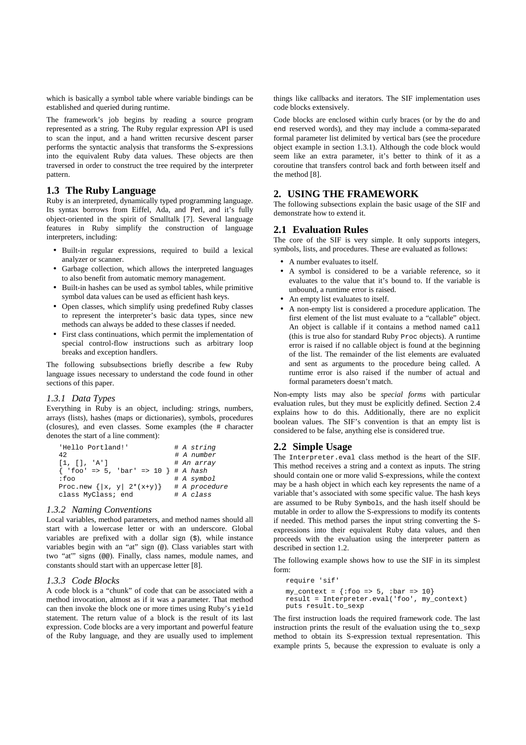which is basically a symbol table where variable bindings can be established and queried during runtime.

The framework's job begins by reading a source program represented as a string. The Ruby regular expression API is used to scan the input, and a hand written recursive descent parser performs the syntactic analysis that transforms the S-expressions into the equivalent Ruby data values. These objects are then traversed in order to construct the tree required by the interpreter pattern.

# **1.3 The Ruby Language**

Ruby is an interpreted, dynamically typed programming language. Its syntax borrows from Eiffel, Ada, and Perl, and it's fully object-oriented in the spirit of Smalltalk [7]. Several language features in Ruby simplify the construction of language interpreters, including:

- Built-in regular expressions, required to build a lexical analyzer or scanner.
- Garbage collection, which allows the interpreted languages to also benefit from automatic memory management.
- Built-in hashes can be used as symbol tables, while primitive symbol data values can be used as efficient hash keys.
- Open classes, which simplify using predefined Ruby classes to represent the interpreter's basic data types, since new methods can always be added to these classes if needed.
- First class continuations, which permit the implementation of special control-flow instructions such as arbitrary loop breaks and exception handlers.

The following subsubsections briefly describe a few Ruby language issues necessary to understand the code found in other sections of this paper.

#### *1.3.1 Data Types*

Everything in Ruby is an object, including: strings, numbers, arrays (lists), hashes (maps or dictionaries), symbols, procedures (closures), and even classes. Some examples (the # character denotes the start of a line comment):

| 'Hello Portland!'                  | # A string    |
|------------------------------------|---------------|
| 42                                 | # A number    |
| [1, [1, 'A']                       | # An array    |
| $\{ 'foo' => 5, 'bar' => 10 \}$    | # A hash      |
| ∶foo                               | # A symbol    |
| Proc.new $\{ x, y  \; 2^*(x+y)\}\$ | # A procedure |
| class MyClass; end                 | # A class     |

#### *1.3.2 Naming Conventions*

Local variables, method parameters, and method names should all start with a lowercase letter or with an underscore. Global variables are prefixed with a dollar sign (\$), while instance variables begin with an "at" sign (@). Class variables start with two "at'" signs (@@). Finally, class names, module names, and constants should start with an uppercase letter [8].

#### *1.3.3 Code Blocks*

A code block is a "chunk" of code that can be associated with a method invocation, almost as if it was a parameter. That method can then invoke the block one or more times using Ruby's yield statement. The return value of a block is the result of its last expression. Code blocks are a very important and powerful feature of the Ruby language, and they are usually used to implement

things like callbacks and iterators. The SIF implementation uses code blocks extensively.

Code blocks are enclosed within curly braces (or by the do and end reserved words), and they may include a comma-separated formal parameter list delimited by vertical bars (see the procedure object example in section 1.3.1). Although the code block would seem like an extra parameter, it's better to think of it as a coroutine that transfers control back and forth between itself and the method [8].

# **2. USING THE FRAMEWORK**

The following subsections explain the basic usage of the SIF and demonstrate how to extend it.

## **2.1 Evaluation Rules**

The core of the SIF is very simple. It only supports integers, symbols, lists, and procedures. These are evaluated as follows:

- A number evaluates to itself.
- A symbol is considered to be a variable reference, so it evaluates to the value that it's bound to. If the variable is unbound, a runtime error is raised.
- An empty list evaluates to itself.
- A non-empty list is considered a procedure application. The first element of the list must evaluate to a "callable" object. An object is callable if it contains a method named call (this is true also for standard Ruby Proc objects). A runtime error is raised if no callable object is found at the beginning of the list. The remainder of the list elements are evaluated and sent as arguments to the procedure being called. A runtime error is also raised if the number of actual and formal parameters doesn't match.

Non-empty lists may also be *special forms* with particular evaluation rules, but they must be explicitly defined. Section 2.4 explains how to do this. Additionally, there are no explicit boolean values. The SIF's convention is that an empty list is considered to be false, anything else is considered true.

#### **2.2 Simple Usage**

The Interpreter.eval class method is the heart of the SIF. This method receives a string and a context as inputs. The string should contain one or more valid S-expressions, while the context may be a hash object in which each key represents the name of a variable that's associated with some specific value. The hash keys are assumed to be Ruby Symbols, and the hash itself should be mutable in order to allow the S-expressions to modify its contents if needed. This method parses the input string converting the Sexpressions into their equivalent Ruby data values, and then proceeds with the evaluation using the interpreter pattern as described in section 1.2.

The following example shows how to use the SIF in its simplest form:

```
require 'sif'
my context = \{:foo => 5, :bar => 10}
result = Interpreter.eval('foo', my_context)
puts result.to_sexp
```
The first instruction loads the required framework code. The last instruction prints the result of the evaluation using the to\_sexp method to obtain its S-expression textual representation. This example prints 5, because the expression to evaluate is only a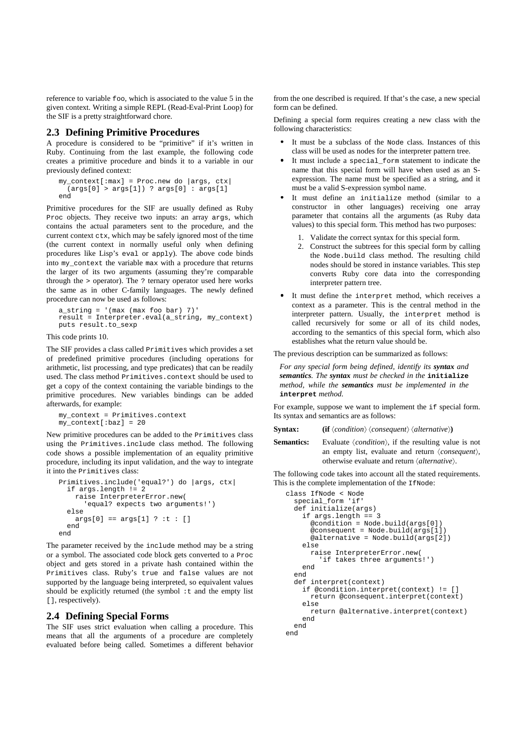reference to variable foo, which is associated to the value 5 in the given context. Writing a simple REPL (Read-Eval-Print Loop) for the SIF is a pretty straightforward chore.

#### **2.3 Defining Primitive Procedures**

A procedure is considered to be "primitive" if it's written in Ruby. Continuing from the last example, the following code creates a primitive procedure and binds it to a variable in our previously defined context:

```
my\_context[:max] = Proc.new do |args, ctx|[0] > args[1] ? args[0] : args[1]end
```
Primitive procedures for the SIF are usually defined as Ruby Proc objects. They receive two inputs: an array args, which contains the actual parameters sent to the procedure, and the current context ctx, which may be safely ignored most of the time (the current context in normally useful only when defining procedures like Lisp's eval or apply). The above code binds into my\_context the variable max with a procedure that returns the larger of its two arguments (assuming they're comparable through the > operator). The ? ternary operator used here works the same as in other C-family languages. The newly defined procedure can now be used as follows:

```
a_string = '(max (max foo bar) 7)'
result = Interpreter.eval(a_string, my_context)
puts result.to_sexp
```
This code prints 10.

The SIF provides a class called Primitives which provides a set of predefined primitive procedures (including operations for arithmetic, list processing, and type predicates) that can be readily used. The class method Primitives.context should be used to get a copy of the context containing the variable bindings to the primitive procedures. New variables bindings can be added afterwards, for example:

```
my_context = Primitives.context
my context[:baz] = 20
```
New primitive procedures can be added to the Primitives class using the Primitives.include class method. The following code shows a possible implementation of an equality primitive procedure, including its input validation, and the way to integrate it into the Primitives class:

```
Primitives.include('equal?') do |args, ctx|
  if args.length != 2
    raise InterpreterError.new(
      'equal? expects two arguments!')
 else
   args[0] == args[1] ? :t : []end
end
```
The parameter received by the include method may be a string or a symbol. The associated code block gets converted to a Proc object and gets stored in a private hash contained within the Primitives class. Ruby's true and false values are not supported by the language being interpreted, so equivalent values should be explicitly returned (the symbol  $:t$  and the empty list [], respectively).

# **2.4 Defining Special Forms**

The SIF uses strict evaluation when calling a procedure. This means that all the arguments of a procedure are completely evaluated before being called. Sometimes a different behavior from the one described is required. If that's the case, a new special form can be defined.

Defining a special form requires creating a new class with the following characteristics:

- It must be a subclass of the Node class. Instances of this class will be used as nodes for the interpreter pattern tree.
- It must include a special form statement to indicate the name that this special form will have when used as an Sexpression. The name must be specified as a string, and it must be a valid S-expression symbol name.
- It must define an initialize method (similar to a constructor in other languages) receiving one array parameter that contains all the arguments (as Ruby data values) to this special form. This method has two purposes:
	- 1. Validate the correct syntax for this special form.
	- 2. Construct the subtrees for this special form by calling the Node.build class method. The resulting child nodes should be stored in instance variables. This step converts Ruby core data into the corresponding interpreter pattern tree.
- It must define the interpret method, which receives a context as a parameter. This is the central method in the interpreter pattern. Usually, the interpret method is called recursively for some or all of its child nodes, according to the semantics of this special form, which also establishes what the return value should be.

The previous description can be summarized as follows:

*For any special form being defined, identify its syntax and semantics. The syntax must be checked in the* **initialize** *method, while the semantics must be implemented in the*  **interpret** *method.* 

For example, suppose we want to implement the if special form. Its syntax and semantics are as follows:

**Syntax: (if** 〈*condition*〉 〈*consequent*〉 〈*alternative*〉**)**

**Semantics:** Evaluate  $\langle condition \rangle$ , if the resulting value is not an empty list, evaluate and return 〈*consequent*〉, otherwise evaluate and return 〈*alternative*〉.

The following code takes into account all the stated requirements. This is the complete implementation of the IfNode:

```
class IfNode < Node
  special_form 'if'
 def initialize(args)
    if args.length == 3
      @condition = Node.build(args[0])
      @consequent = Node.build(args[1])
      @alternative = Node.build(args[2])
   else
      raise InterpreterError.new(
        'if takes three arguments!')
   end
 end
 def interpret(context)
    if @condition.interpret(context) != []
      return @consequent.interpret(context)
    else
     return @alternative.interpret(context)
   end
 end
end
```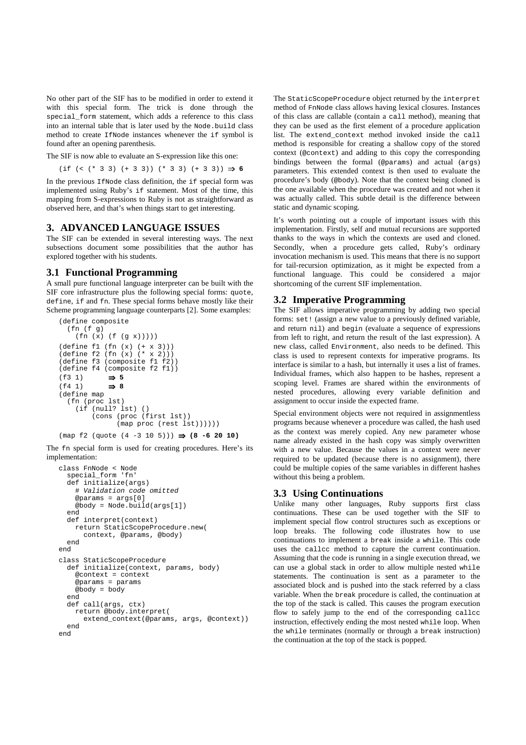No other part of the SIF has to be modified in order to extend it with this special form. The trick is done through the special\_form statement, which adds a reference to this class into an internal table that is later used by the Node.build class method to create IfNode instances whenever the if symbol is found after an opening parenthesis.

The SIF is now able to evaluate an S-expression like this one:

$$
(if \ (** 3 3) (+ 3 3)) (* 3 3) (+ 3 3)) \Rightarrow 6
$$

In the previous IfNode class definition, the if special form was implemented using Ruby's if statement. Most of the time, this mapping from S-expressions to Ruby is not as straightforward as observed here, and that's when things start to get interesting.

#### **3. ADVANCED LANGUAGE ISSUES**

The SIF can be extended in several interesting ways. The next subsections document some possibilities that the author has explored together with his students.

## **3.1 Functional Programming**

A small pure functional language interpreter can be built with the SIF core infrastructure plus the following special forms: quote, define, if and fn. These special forms behave mostly like their Scheme programming language counterparts [2]. Some examples:

```
(define composite
  (fn (f g)
   (fn (x) (f (g x)))))
(define f1 (fn (x) (+ x 3)))
(define f2 (fn (x) (* x 2)))
(define f3 (composite f1 f2))
(define f4 (composite f2 f1))
(f3 1) ⇒ 5
(f4 1) ⇒ 8
(define map
 (fn (proc lst)
    (if (null? lst) ()
        (cons (proc (first lst))
              (map proc (rest lst))))))
(map f2 (quote (4 -3 10 5))) ⇒ (8 -6 20 10)
```
The fn special form is used for creating procedures. Here's its implementation:

```
class FnNode < Node
  special_form 'fn'
  def initialize(args)
    # Validation code omitted
    @params = args[0]
    @body = Node.build(args[1])
  end
  def interpret(context)
    return StaticScopeProcedure.new(
      context, @params, @body)
  end
end
class StaticScopeProcedure
  def initialize(context, params, body)
    @context = context
    @params = params
    @body = body
  end
  def call(args, ctx)
    return @body.interpret(
      extend_context(@params, args, @context))
  end
end
```
The StaticScopeProcedure object returned by the interpret method of FnNode class allows having lexical closures. Instances of this class are callable (contain a call method), meaning that they can be used as the first element of a procedure application list. The extend\_context method invoked inside the call method is responsible for creating a shallow copy of the stored context (@context) and adding to this copy the corresponding bindings between the formal (@params) and actual (args) parameters. This extended context is then used to evaluate the procedure's body (@body). Note that the context being cloned is the one available when the procedure was created and not when it was actually called. This subtle detail is the difference between static and dynamic scoping.

It's worth pointing out a couple of important issues with this implementation. Firstly, self and mutual recursions are supported thanks to the ways in which the contexts are used and cloned. Secondly, when a procedure gets called, Ruby's ordinary invocation mechanism is used. This means that there is no support for tail-recursion optimization, as it might be expected from a functional language. This could be considered a major shortcoming of the current SIF implementation.

# **3.2 Imperative Programming**

The SIF allows imperative programming by adding two special forms: set! (assign a new value to a previously defined variable, and return nil) and begin (evaluate a sequence of expressions from left to right, and return the result of the last expression). A new class, called Environment, also needs to be defined. This class is used to represent contexts for imperative programs. Its interface is similar to a hash, but internally it uses a list of frames. Individual frames, which also happen to be hashes, represent a scoping level. Frames are shared within the environments of nested procedures, allowing every variable definition and assignment to occur inside the expected frame.

Special environment objects were not required in assignmentless programs because whenever a procedure was called, the hash used as the context was merely copied. Any new parameter whose name already existed in the hash copy was simply overwritten with a new value. Because the values in a context were never required to be updated (because there is no assignment), there could be multiple copies of the same variables in different hashes without this being a problem.

#### **3.3 Using Continuations**

Unlike many other languages, Ruby supports first class continuations. These can be used together with the SIF to implement special flow control structures such as exceptions or loop breaks. The following code illustrates how to use continuations to implement a break inside a while. This code uses the callcc method to capture the current continuation. Assuming that the code is running in a single execution thread, we can use a global stack in order to allow multiple nested while statements. The continuation is sent as a parameter to the associated block and is pushed into the stack referred by a class variable. When the break procedure is called, the continuation at the top of the stack is called. This causes the program execution flow to safely jump to the end of the corresponding callcc instruction, effectively ending the most nested while loop. When the while terminates (normally or through a break instruction) the continuation at the top of the stack is popped.